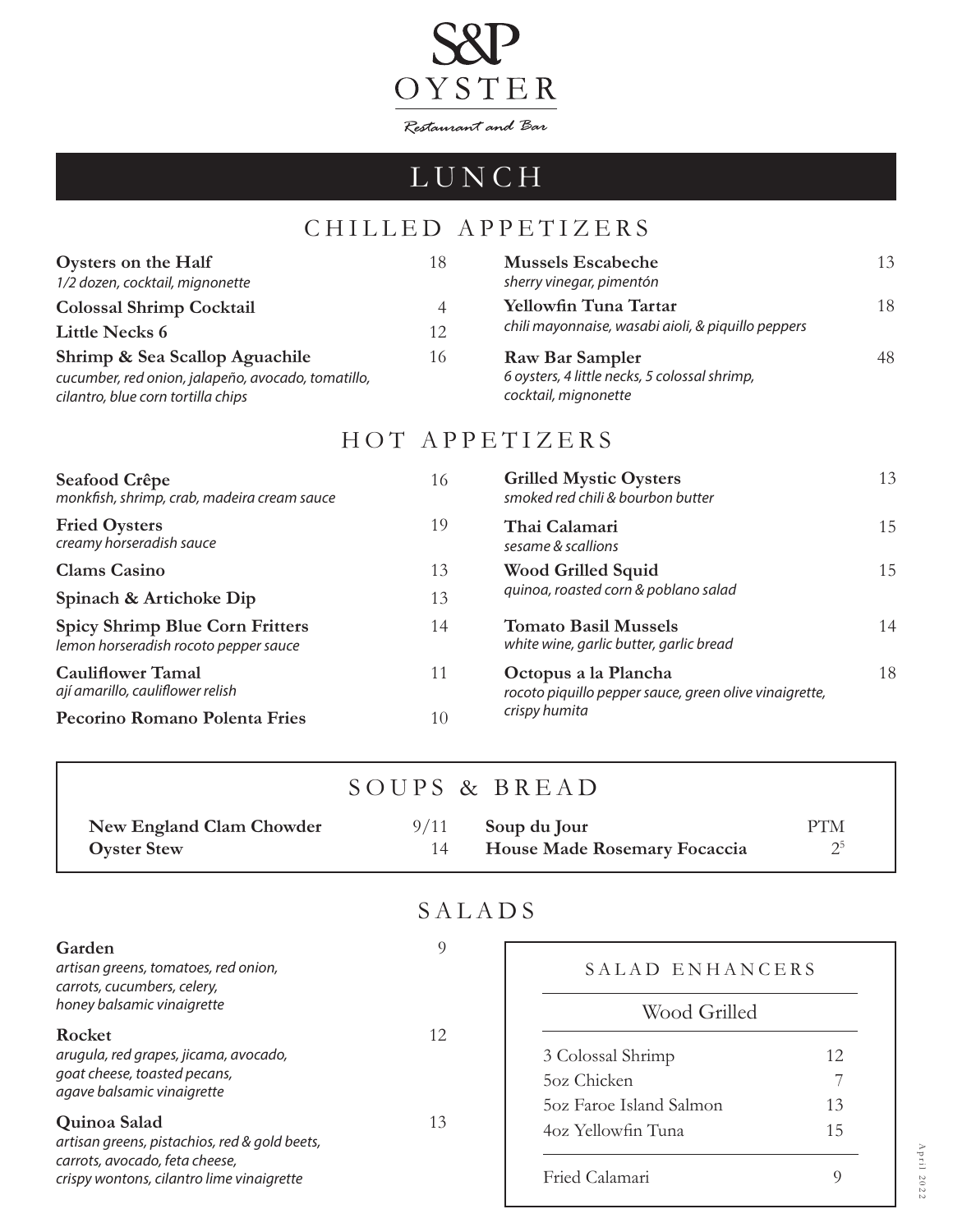

# LUNCH

## CHILLED APPETIZERS

| Oysters on the Half<br>1/2 dozen, cocktail, mignonette                                                                     | 18 | <b>Mussels Escabeche</b><br>sherry vinegar, pimentón                                     | 13 |
|----------------------------------------------------------------------------------------------------------------------------|----|------------------------------------------------------------------------------------------|----|
| <b>Colossal Shrimp Cocktail</b>                                                                                            | 4  | Yellowfin Tuna Tartar                                                                    | 18 |
| <b>Little Necks 6</b>                                                                                                      | 12 | chili mayonnaise, wasabi aioli, & piquillo peppers                                       |    |
| Shrimp & Sea Scallop Aguachile<br>cucumber, red onion, jalapeño, avocado, tomatillo,<br>cilantro, blue corn tortilla chips | 16 | Raw Bar Sampler<br>6 oysters, 4 little necks, 5 colossal shrimp,<br>cocktail, mignonette | 48 |

#### HOT APPETIZERS

| Seafood Crêpe<br>monkfish, shrimp, crab, madeira cream sauce                    | 16 | <b>Grilled Mystic Oysters</b><br>smoked red chili & bourbon butter             | 13 |
|---------------------------------------------------------------------------------|----|--------------------------------------------------------------------------------|----|
| <b>Fried Oysters</b><br>creamy horseradish sauce                                | 19 | Thai Calamari<br>sesame & scallions                                            | 15 |
| <b>Clams Casino</b>                                                             | 13 | <b>Wood Grilled Squid</b><br>quinoa, roasted corn & poblano salad              | 15 |
| Spinach & Artichoke Dip                                                         | 13 |                                                                                |    |
| <b>Spicy Shrimp Blue Corn Fritters</b><br>lemon horseradish rocoto pepper sauce | 14 | <b>Tomato Basil Mussels</b><br>white wine, garlic butter, garlic bread         | 14 |
| <b>Cauliflower Tamal</b><br>ají amarillo, cauliflower relish                    | 11 | Octopus a la Plancha<br>rocoto piquillo pepper sauce, green olive vinaigrette, | 18 |
| Pecorino Romano Polenta Fries                                                   | 10 | crispy humita                                                                  |    |

|  |  | SOUPS & BREAD |
|--|--|---------------|
|--|--|---------------|

| New England Clam Chowder | $9/11$ Soup du Jour                 | <b>PTM</b> |
|--------------------------|-------------------------------------|------------|
| <b>Oyster Stew</b>       | <b>House Made Rosemary Focaccia</b> |            |

### SALADS

| Garden<br>artisan greens, tomatoes, red onion,<br>carrots, cucumbers, celery,<br>honey balsamic vinaigrette                                                                                                                                                   | 9        | SALAD ENHANCERS<br>Wood Grilled                                                                     |                      |
|---------------------------------------------------------------------------------------------------------------------------------------------------------------------------------------------------------------------------------------------------------------|----------|-----------------------------------------------------------------------------------------------------|----------------------|
| Rocket<br>arugula, red grapes, jicama, avocado,<br>goat cheese, toasted pecans,<br>agave balsamic vinaigrette<br>Quinoa Salad<br>artisan greens, pistachios, red & gold beets,<br>carrots, avocado, feta cheese,<br>crispy wontons, cilantro lime vinaigrette | 12<br>13 | 3 Colossal Shrimp<br>5oz Chicken<br>50z Faroe Island Salmon<br>4oz Yellowfin Tuna<br>Fried Calamari | 12.<br>13<br>15<br>Q |